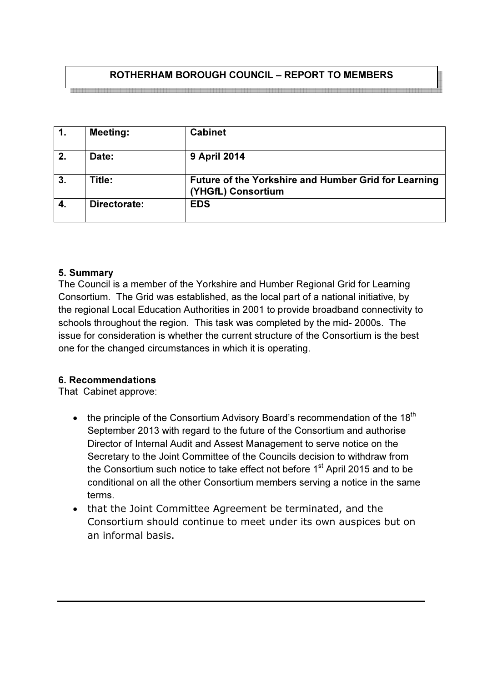# ROTHERHAM BOROUGH COUNCIL – REPORT TO MEMBERS

<br>이 그는 그는 그들은 그들을 하고 있는 것을 하고 있는 것을 하고 있는 것을 하고 있는 것을 하고 있는 것을 하고 있는 것을 하고 있는 것을 하고 있는 것을 하고 있는 것을 하고 있는 것을 하고 있

| $\mathbf{1}$ . | <b>Meeting:</b> | <b>Cabinet</b>                                                             |
|----------------|-----------------|----------------------------------------------------------------------------|
| 2.             | Date:           | <b>9 April 2014</b>                                                        |
| 3.             | Title:          | Future of the Yorkshire and Humber Grid for Learning<br>(YHGfL) Consortium |
| 4.             | Directorate:    | <b>EDS</b>                                                                 |

#### 5. Summary

The Council is a member of the Yorkshire and Humber Regional Grid for Learning Consortium. The Grid was established, as the local part of a national initiative, by the regional Local Education Authorities in 2001 to provide broadband connectivity to schools throughout the region. This task was completed by the mid- 2000s. The issue for consideration is whether the current structure of the Consortium is the best one for the changed circumstances in which it is operating.

#### 6. Recommendations

That Cabinet approve:

- the principle of the Consortium Advisory Board's recommendation of the  $18<sup>th</sup>$ September 2013 with regard to the future of the Consortium and authorise Director of Internal Audit and Assest Management to serve notice on the Secretary to the Joint Committee of the Councils decision to withdraw from the Consortium such notice to take effect not before  $1<sup>st</sup>$  April 2015 and to be conditional on all the other Consortium members serving a notice in the same terms.
- that the Joint Committee Agreement be terminated, and the Consortium should continue to meet under its own auspices but on an informal basis.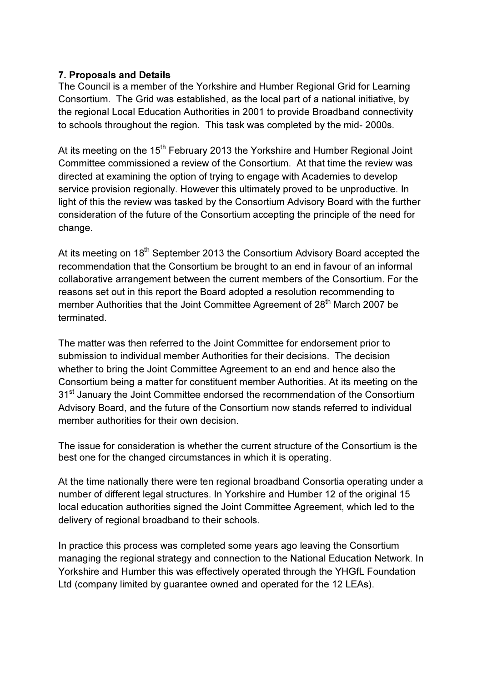### 7. Proposals and Details

The Council is a member of the Yorkshire and Humber Regional Grid for Learning Consortium. The Grid was established, as the local part of a national initiative, by the regional Local Education Authorities in 2001 to provide Broadband connectivity to schools throughout the region. This task was completed by the mid- 2000s.

At its meeting on the 15<sup>th</sup> February 2013 the Yorkshire and Humber Regional Joint Committee commissioned a review of the Consortium. At that time the review was directed at examining the option of trying to engage with Academies to develop service provision regionally. However this ultimately proved to be unproductive. In light of this the review was tasked by the Consortium Advisory Board with the further consideration of the future of the Consortium accepting the principle of the need for change.

At its meeting on 18<sup>th</sup> September 2013 the Consortium Advisory Board accepted the recommendation that the Consortium be brought to an end in favour of an informal collaborative arrangement between the current members of the Consortium. For the reasons set out in this report the Board adopted a resolution recommending to member Authorities that the Joint Committee Agreement of 28<sup>th</sup> March 2007 be terminated.

The matter was then referred to the Joint Committee for endorsement prior to submission to individual member Authorities for their decisions. The decision whether to bring the Joint Committee Agreement to an end and hence also the Consortium being a matter for constituent member Authorities. At its meeting on the 31<sup>st</sup> January the Joint Committee endorsed the recommendation of the Consortium Advisory Board, and the future of the Consortium now stands referred to individual member authorities for their own decision.

The issue for consideration is whether the current structure of the Consortium is the best one for the changed circumstances in which it is operating.

At the time nationally there were ten regional broadband Consortia operating under a number of different legal structures. In Yorkshire and Humber 12 of the original 15 local education authorities signed the Joint Committee Agreement, which led to the delivery of regional broadband to their schools.

In practice this process was completed some years ago leaving the Consortium managing the regional strategy and connection to the National Education Network. In Yorkshire and Humber this was effectively operated through the YHGfL Foundation Ltd (company limited by guarantee owned and operated for the 12 LEAs).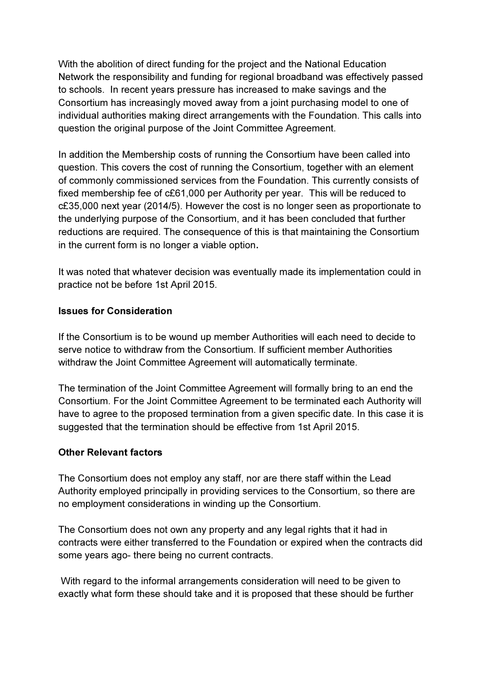With the abolition of direct funding for the project and the National Education Network the responsibility and funding for regional broadband was effectively passed to schools. In recent years pressure has increased to make savings and the Consortium has increasingly moved away from a joint purchasing model to one of individual authorities making direct arrangements with the Foundation. This calls into question the original purpose of the Joint Committee Agreement.

In addition the Membership costs of running the Consortium have been called into question. This covers the cost of running the Consortium, together with an element of commonly commissioned services from the Foundation. This currently consists of fixed membership fee of c£61,000 per Authority per year. This will be reduced to c£35,000 next year (2014/5). However the cost is no longer seen as proportionate to the underlying purpose of the Consortium, and it has been concluded that further reductions are required. The consequence of this is that maintaining the Consortium in the current form is no longer a viable option.

It was noted that whatever decision was eventually made its implementation could in practice not be before 1st April 2015.

# Issues for Consideration

If the Consortium is to be wound up member Authorities will each need to decide to serve notice to withdraw from the Consortium. If sufficient member Authorities withdraw the Joint Committee Agreement will automatically terminate.

The termination of the Joint Committee Agreement will formally bring to an end the Consortium. For the Joint Committee Agreement to be terminated each Authority will have to agree to the proposed termination from a given specific date. In this case it is suggested that the termination should be effective from 1st April 2015.

# Other Relevant factors

The Consortium does not employ any staff, nor are there staff within the Lead Authority employed principally in providing services to the Consortium, so there are no employment considerations in winding up the Consortium.

The Consortium does not own any property and any legal rights that it had in contracts were either transferred to the Foundation or expired when the contracts did some years ago- there being no current contracts.

 With regard to the informal arrangements consideration will need to be given to exactly what form these should take and it is proposed that these should be further